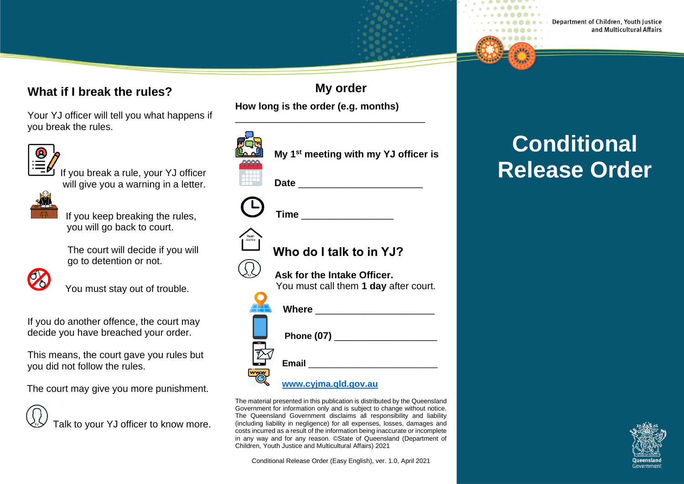#### **What if I break the rules?**

Your YJ officer will tell you what happens if you break the rules.



If you break a rule, your YJ officer will give you a warning in a letter.



 If you keep breaking the rules, you will go back to court.

 The court will decide if you will go to detention or not.



You must stay out of trouble.

If you do another offence, the court may decide you have breached your order.

This means, the court gave you rules but you did not follow the rules.

The court may give you more punishment.



**My order How long is the order (e.g. months)**

\_\_\_\_\_\_\_\_\_\_\_\_\_\_\_\_\_\_\_\_\_\_\_\_\_\_\_\_\_\_\_\_\_\_\_

|                  | My 1 <sup>st</sup> meeting with my YJ officer is                                                               |
|------------------|----------------------------------------------------------------------------------------------------------------|
|                  |                                                                                                                |
|                  |                                                                                                                |
|                  | Time                                                                                                           |
| Youth<br>Justice | Who do I talk to in YJ?                                                                                        |
|                  |                                                                                                                |
|                  | Ask for the Intake Officer.                                                                                    |
|                  | You must call them 1 day after court.                                                                          |
|                  | Where ____________________                                                                                     |
|                  |                                                                                                                |
|                  | Phone (07) 2008 2010 2021 2022 2023 2024 2022 2023 2024 2022 2023 2024 2022 2023 2024 2025 2026 2027 2027 2028 |
|                  |                                                                                                                |
|                  |                                                                                                                |
|                  |                                                                                                                |
|                  | www.cyjma.qld.gov.au                                                                                           |

The material presented in this publication is distributed by the Queensland Government for information only and is subject to change without notice. The Queensland Government disclaims all responsibility and liability (including liability in negligence) for all expenses, losses, damages and costs incurred as a result of the information being inaccurate or incomplete in any way and for any reason. ©State of Queensland (Department of Children, Youth Justice and Multicultural Affairs) 2021

Conditional Release Order (Easy English), ver. 1.0, April 2021

# **Conditional Release Order**